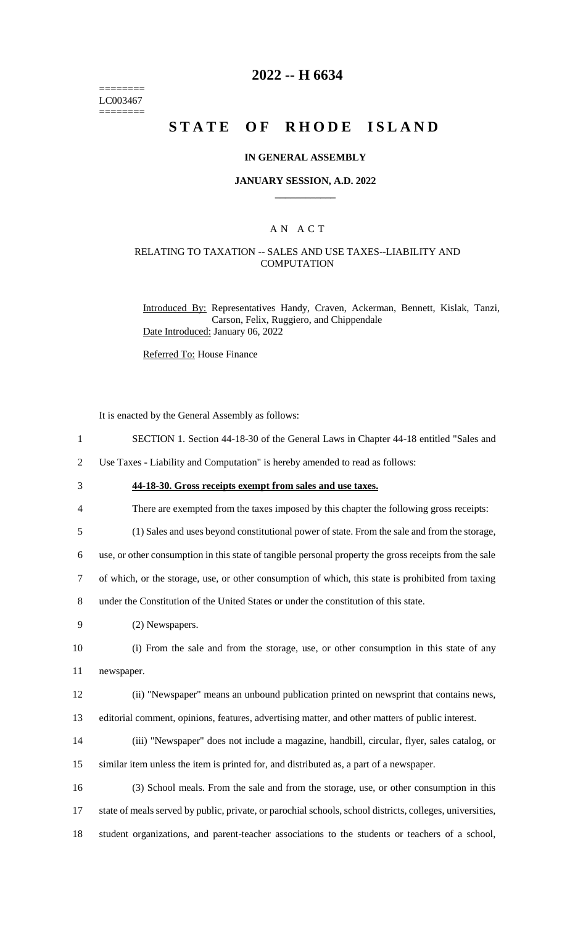======== LC003467 ========

## **2022 -- H 6634**

# **STATE OF RHODE ISLAND**

#### **IN GENERAL ASSEMBLY**

#### **JANUARY SESSION, A.D. 2022 \_\_\_\_\_\_\_\_\_\_\_\_**

## A N A C T

#### RELATING TO TAXATION -- SALES AND USE TAXES--LIABILITY AND **COMPUTATION**

Introduced By: Representatives Handy, Craven, Ackerman, Bennett, Kislak, Tanzi, Carson, Felix, Ruggiero, and Chippendale Date Introduced: January 06, 2022

Referred To: House Finance

It is enacted by the General Assembly as follows:

1 SECTION 1. Section 44-18-30 of the General Laws in Chapter 44-18 entitled "Sales and

2 Use Taxes - Liability and Computation" is hereby amended to read as follows:

3 **44-18-30. Gross receipts exempt from sales and use taxes.**

4 There are exempted from the taxes imposed by this chapter the following gross receipts:

5 (1) Sales and uses beyond constitutional power of state. From the sale and from the storage,

6 use, or other consumption in this state of tangible personal property the gross receipts from the sale

7 of which, or the storage, use, or other consumption of which, this state is prohibited from taxing

8 under the Constitution of the United States or under the constitution of this state.

9 (2) Newspapers.

10 (i) From the sale and from the storage, use, or other consumption in this state of any 11 newspaper.

12 (ii) "Newspaper" means an unbound publication printed on newsprint that contains news,

13 editorial comment, opinions, features, advertising matter, and other matters of public interest.

- 14 (iii) "Newspaper" does not include a magazine, handbill, circular, flyer, sales catalog, or 15 similar item unless the item is printed for, and distributed as, a part of a newspaper.
- 16 (3) School meals. From the sale and from the storage, use, or other consumption in this 17 state of meals served by public, private, or parochial schools, school districts, colleges, universities, 18 student organizations, and parent-teacher associations to the students or teachers of a school,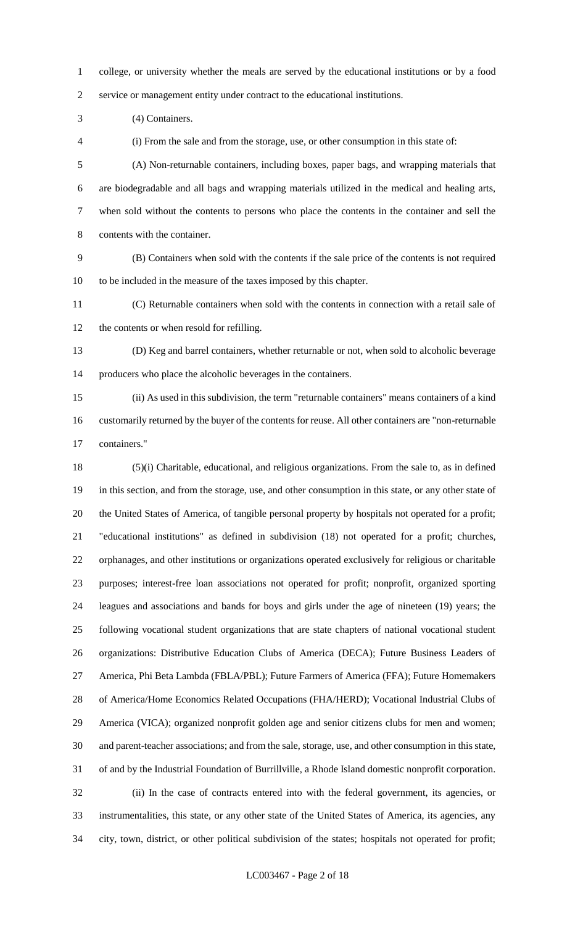college, or university whether the meals are served by the educational institutions or by a food service or management entity under contract to the educational institutions.

(4) Containers.

(i) From the sale and from the storage, use, or other consumption in this state of:

 (A) Non-returnable containers, including boxes, paper bags, and wrapping materials that are biodegradable and all bags and wrapping materials utilized in the medical and healing arts, when sold without the contents to persons who place the contents in the container and sell the contents with the container.

 (B) Containers when sold with the contents if the sale price of the contents is not required to be included in the measure of the taxes imposed by this chapter.

 (C) Returnable containers when sold with the contents in connection with a retail sale of the contents or when resold for refilling.

 (D) Keg and barrel containers, whether returnable or not, when sold to alcoholic beverage producers who place the alcoholic beverages in the containers.

 (ii) As used in this subdivision, the term "returnable containers" means containers of a kind customarily returned by the buyer of the contents for reuse. All other containers are "non-returnable containers."

 (5)(i) Charitable, educational, and religious organizations. From the sale to, as in defined in this section, and from the storage, use, and other consumption in this state, or any other state of the United States of America, of tangible personal property by hospitals not operated for a profit; "educational institutions" as defined in subdivision (18) not operated for a profit; churches, orphanages, and other institutions or organizations operated exclusively for religious or charitable purposes; interest-free loan associations not operated for profit; nonprofit, organized sporting leagues and associations and bands for boys and girls under the age of nineteen (19) years; the following vocational student organizations that are state chapters of national vocational student organizations: Distributive Education Clubs of America (DECA); Future Business Leaders of America, Phi Beta Lambda (FBLA/PBL); Future Farmers of America (FFA); Future Homemakers of America/Home Economics Related Occupations (FHA/HERD); Vocational Industrial Clubs of America (VICA); organized nonprofit golden age and senior citizens clubs for men and women; and parent-teacher associations; and from the sale, storage, use, and other consumption in this state, of and by the Industrial Foundation of Burrillville, a Rhode Island domestic nonprofit corporation. (ii) In the case of contracts entered into with the federal government, its agencies, or instrumentalities, this state, or any other state of the United States of America, its agencies, any city, town, district, or other political subdivision of the states; hospitals not operated for profit;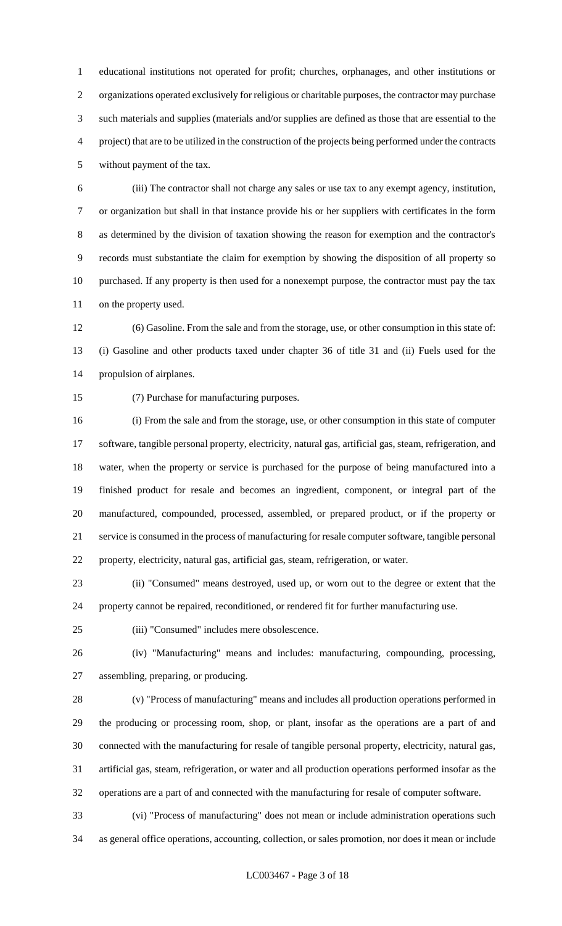educational institutions not operated for profit; churches, orphanages, and other institutions or organizations operated exclusively for religious or charitable purposes, the contractor may purchase such materials and supplies (materials and/or supplies are defined as those that are essential to the project) that are to be utilized in the construction of the projects being performed under the contracts without payment of the tax.

 (iii) The contractor shall not charge any sales or use tax to any exempt agency, institution, or organization but shall in that instance provide his or her suppliers with certificates in the form as determined by the division of taxation showing the reason for exemption and the contractor's records must substantiate the claim for exemption by showing the disposition of all property so purchased. If any property is then used for a nonexempt purpose, the contractor must pay the tax on the property used.

 (6) Gasoline. From the sale and from the storage, use, or other consumption in this state of: (i) Gasoline and other products taxed under chapter 36 of title 31 and (ii) Fuels used for the propulsion of airplanes.

(7) Purchase for manufacturing purposes.

 (i) From the sale and from the storage, use, or other consumption in this state of computer software, tangible personal property, electricity, natural gas, artificial gas, steam, refrigeration, and water, when the property or service is purchased for the purpose of being manufactured into a finished product for resale and becomes an ingredient, component, or integral part of the manufactured, compounded, processed, assembled, or prepared product, or if the property or service is consumed in the process of manufacturing for resale computer software, tangible personal property, electricity, natural gas, artificial gas, steam, refrigeration, or water.

 (ii) "Consumed" means destroyed, used up, or worn out to the degree or extent that the property cannot be repaired, reconditioned, or rendered fit for further manufacturing use.

(iii) "Consumed" includes mere obsolescence.

 (iv) "Manufacturing" means and includes: manufacturing, compounding, processing, assembling, preparing, or producing.

 (v) "Process of manufacturing" means and includes all production operations performed in the producing or processing room, shop, or plant, insofar as the operations are a part of and connected with the manufacturing for resale of tangible personal property, electricity, natural gas, artificial gas, steam, refrigeration, or water and all production operations performed insofar as the operations are a part of and connected with the manufacturing for resale of computer software.

 (vi) "Process of manufacturing" does not mean or include administration operations such as general office operations, accounting, collection, or sales promotion, nor does it mean or include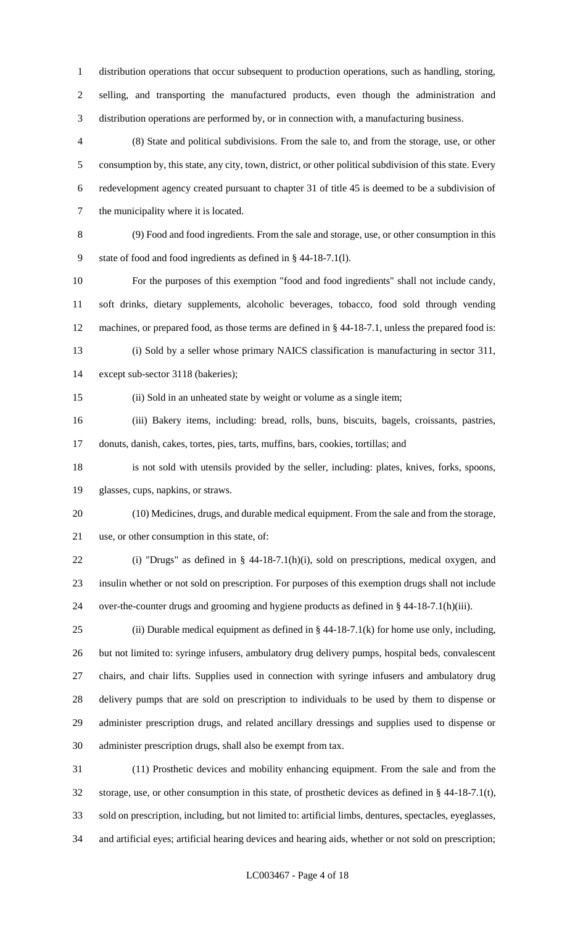distribution operations that occur subsequent to production operations, such as handling, storing, selling, and transporting the manufactured products, even though the administration and distribution operations are performed by, or in connection with, a manufacturing business.

 (8) State and political subdivisions. From the sale to, and from the storage, use, or other consumption by, this state, any city, town, district, or other political subdivision of this state. Every redevelopment agency created pursuant to chapter 31 of title 45 is deemed to be a subdivision of the municipality where it is located.

 (9) Food and food ingredients. From the sale and storage, use, or other consumption in this state of food and food ingredients as defined in § 44-18-7.1(l).

 For the purposes of this exemption "food and food ingredients" shall not include candy, soft drinks, dietary supplements, alcoholic beverages, tobacco, food sold through vending machines, or prepared food, as those terms are defined in § 44-18-7.1, unless the prepared food is: (i) Sold by a seller whose primary NAICS classification is manufacturing in sector 311,

except sub-sector 3118 (bakeries);

(ii) Sold in an unheated state by weight or volume as a single item;

 (iii) Bakery items, including: bread, rolls, buns, biscuits, bagels, croissants, pastries, donuts, danish, cakes, tortes, pies, tarts, muffins, bars, cookies, tortillas; and

 is not sold with utensils provided by the seller, including: plates, knives, forks, spoons, glasses, cups, napkins, or straws.

 (10) Medicines, drugs, and durable medical equipment. From the sale and from the storage, use, or other consumption in this state, of:

 (i) "Drugs" as defined in § 44-18-7.1(h)(i), sold on prescriptions, medical oxygen, and insulin whether or not sold on prescription. For purposes of this exemption drugs shall not include over-the-counter drugs and grooming and hygiene products as defined in § 44-18-7.1(h)(iii).

25 (ii) Durable medical equipment as defined in  $\S$  44-18-7.1(k) for home use only, including, but not limited to: syringe infusers, ambulatory drug delivery pumps, hospital beds, convalescent chairs, and chair lifts. Supplies used in connection with syringe infusers and ambulatory drug delivery pumps that are sold on prescription to individuals to be used by them to dispense or administer prescription drugs, and related ancillary dressings and supplies used to dispense or administer prescription drugs, shall also be exempt from tax.

 (11) Prosthetic devices and mobility enhancing equipment. From the sale and from the storage, use, or other consumption in this state, of prosthetic devices as defined in § 44-18-7.1(t), sold on prescription, including, but not limited to: artificial limbs, dentures, spectacles, eyeglasses, and artificial eyes; artificial hearing devices and hearing aids, whether or not sold on prescription;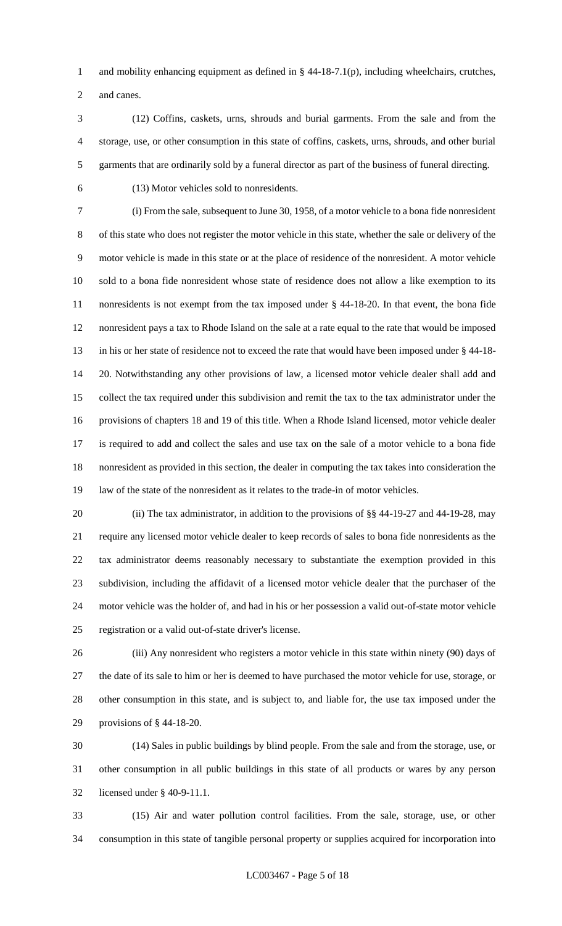1 and mobility enhancing equipment as defined in § 44-18-7.1(p), including wheelchairs, crutches,

and canes.

 (12) Coffins, caskets, urns, shrouds and burial garments. From the sale and from the storage, use, or other consumption in this state of coffins, caskets, urns, shrouds, and other burial garments that are ordinarily sold by a funeral director as part of the business of funeral directing.

(13) Motor vehicles sold to nonresidents.

 (i) From the sale, subsequent to June 30, 1958, of a motor vehicle to a bona fide nonresident of this state who does not register the motor vehicle in this state, whether the sale or delivery of the motor vehicle is made in this state or at the place of residence of the nonresident. A motor vehicle sold to a bona fide nonresident whose state of residence does not allow a like exemption to its nonresidents is not exempt from the tax imposed under § 44-18-20. In that event, the bona fide nonresident pays a tax to Rhode Island on the sale at a rate equal to the rate that would be imposed in his or her state of residence not to exceed the rate that would have been imposed under § 44-18- 20. Notwithstanding any other provisions of law, a licensed motor vehicle dealer shall add and collect the tax required under this subdivision and remit the tax to the tax administrator under the provisions of chapters 18 and 19 of this title. When a Rhode Island licensed, motor vehicle dealer is required to add and collect the sales and use tax on the sale of a motor vehicle to a bona fide nonresident as provided in this section, the dealer in computing the tax takes into consideration the law of the state of the nonresident as it relates to the trade-in of motor vehicles.

20 (ii) The tax administrator, in addition to the provisions of §§ 44-19-27 and 44-19-28, may require any licensed motor vehicle dealer to keep records of sales to bona fide nonresidents as the tax administrator deems reasonably necessary to substantiate the exemption provided in this subdivision, including the affidavit of a licensed motor vehicle dealer that the purchaser of the motor vehicle was the holder of, and had in his or her possession a valid out-of-state motor vehicle registration or a valid out-of-state driver's license.

 (iii) Any nonresident who registers a motor vehicle in this state within ninety (90) days of the date of its sale to him or her is deemed to have purchased the motor vehicle for use, storage, or other consumption in this state, and is subject to, and liable for, the use tax imposed under the provisions of § 44-18-20.

 (14) Sales in public buildings by blind people. From the sale and from the storage, use, or other consumption in all public buildings in this state of all products or wares by any person licensed under § 40-9-11.1.

 (15) Air and water pollution control facilities. From the sale, storage, use, or other consumption in this state of tangible personal property or supplies acquired for incorporation into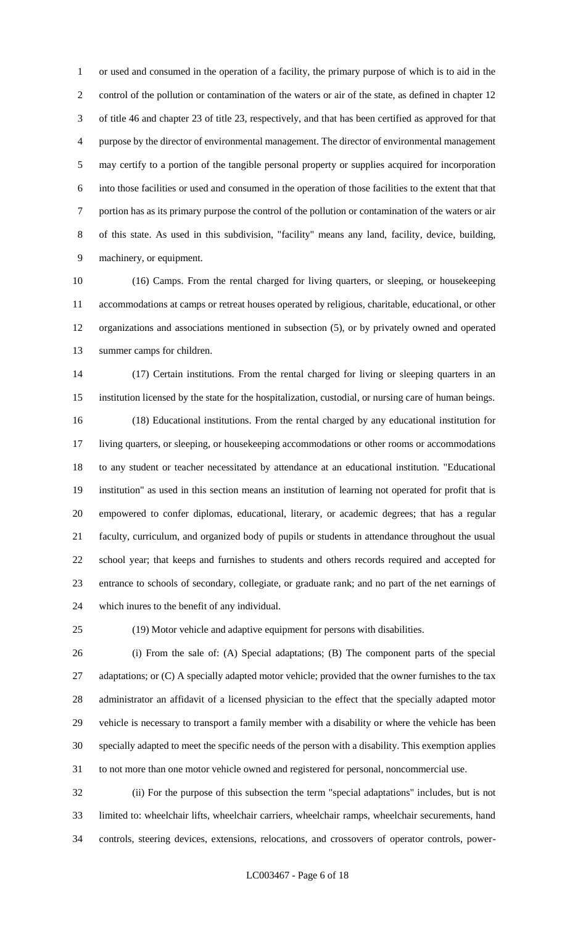or used and consumed in the operation of a facility, the primary purpose of which is to aid in the control of the pollution or contamination of the waters or air of the state, as defined in chapter 12 of title 46 and chapter 23 of title 23, respectively, and that has been certified as approved for that purpose by the director of environmental management. The director of environmental management may certify to a portion of the tangible personal property or supplies acquired for incorporation into those facilities or used and consumed in the operation of those facilities to the extent that that portion has as its primary purpose the control of the pollution or contamination of the waters or air of this state. As used in this subdivision, "facility" means any land, facility, device, building, machinery, or equipment.

 (16) Camps. From the rental charged for living quarters, or sleeping, or housekeeping accommodations at camps or retreat houses operated by religious, charitable, educational, or other organizations and associations mentioned in subsection (5), or by privately owned and operated summer camps for children.

 (17) Certain institutions. From the rental charged for living or sleeping quarters in an institution licensed by the state for the hospitalization, custodial, or nursing care of human beings. (18) Educational institutions. From the rental charged by any educational institution for living quarters, or sleeping, or housekeeping accommodations or other rooms or accommodations to any student or teacher necessitated by attendance at an educational institution. "Educational institution" as used in this section means an institution of learning not operated for profit that is empowered to confer diplomas, educational, literary, or academic degrees; that has a regular faculty, curriculum, and organized body of pupils or students in attendance throughout the usual school year; that keeps and furnishes to students and others records required and accepted for entrance to schools of secondary, collegiate, or graduate rank; and no part of the net earnings of which inures to the benefit of any individual.

(19) Motor vehicle and adaptive equipment for persons with disabilities.

 (i) From the sale of: (A) Special adaptations; (B) The component parts of the special 27 adaptations; or (C) A specially adapted motor vehicle; provided that the owner furnishes to the tax administrator an affidavit of a licensed physician to the effect that the specially adapted motor vehicle is necessary to transport a family member with a disability or where the vehicle has been specially adapted to meet the specific needs of the person with a disability. This exemption applies to not more than one motor vehicle owned and registered for personal, noncommercial use.

 (ii) For the purpose of this subsection the term "special adaptations" includes, but is not limited to: wheelchair lifts, wheelchair carriers, wheelchair ramps, wheelchair securements, hand controls, steering devices, extensions, relocations, and crossovers of operator controls, power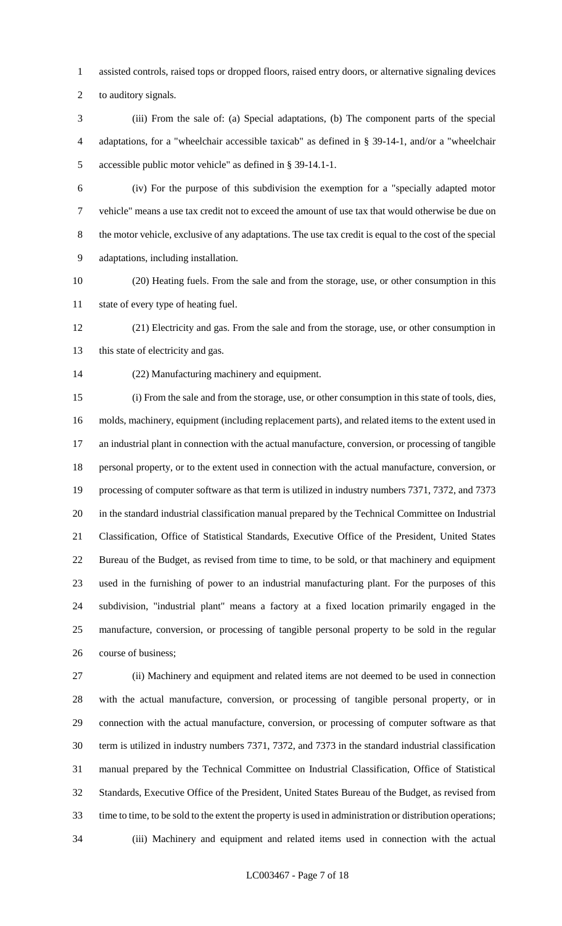assisted controls, raised tops or dropped floors, raised entry doors, or alternative signaling devices

to auditory signals.

 (iii) From the sale of: (a) Special adaptations, (b) The component parts of the special adaptations, for a "wheelchair accessible taxicab" as defined in § 39-14-1, and/or a "wheelchair accessible public motor vehicle" as defined in § 39-14.1-1.

 (iv) For the purpose of this subdivision the exemption for a "specially adapted motor vehicle" means a use tax credit not to exceed the amount of use tax that would otherwise be due on the motor vehicle, exclusive of any adaptations. The use tax credit is equal to the cost of the special adaptations, including installation.

 (20) Heating fuels. From the sale and from the storage, use, or other consumption in this state of every type of heating fuel.

 (21) Electricity and gas. From the sale and from the storage, use, or other consumption in 13 this state of electricity and gas.

(22) Manufacturing machinery and equipment.

 (i) From the sale and from the storage, use, or other consumption in this state of tools, dies, molds, machinery, equipment (including replacement parts), and related items to the extent used in an industrial plant in connection with the actual manufacture, conversion, or processing of tangible personal property, or to the extent used in connection with the actual manufacture, conversion, or processing of computer software as that term is utilized in industry numbers 7371, 7372, and 7373 in the standard industrial classification manual prepared by the Technical Committee on Industrial Classification, Office of Statistical Standards, Executive Office of the President, United States Bureau of the Budget, as revised from time to time, to be sold, or that machinery and equipment used in the furnishing of power to an industrial manufacturing plant. For the purposes of this subdivision, "industrial plant" means a factory at a fixed location primarily engaged in the manufacture, conversion, or processing of tangible personal property to be sold in the regular course of business;

 (ii) Machinery and equipment and related items are not deemed to be used in connection with the actual manufacture, conversion, or processing of tangible personal property, or in connection with the actual manufacture, conversion, or processing of computer software as that term is utilized in industry numbers 7371, 7372, and 7373 in the standard industrial classification manual prepared by the Technical Committee on Industrial Classification, Office of Statistical Standards, Executive Office of the President, United States Bureau of the Budget, as revised from time to time, to be sold to the extent the property is used in administration or distribution operations; (iii) Machinery and equipment and related items used in connection with the actual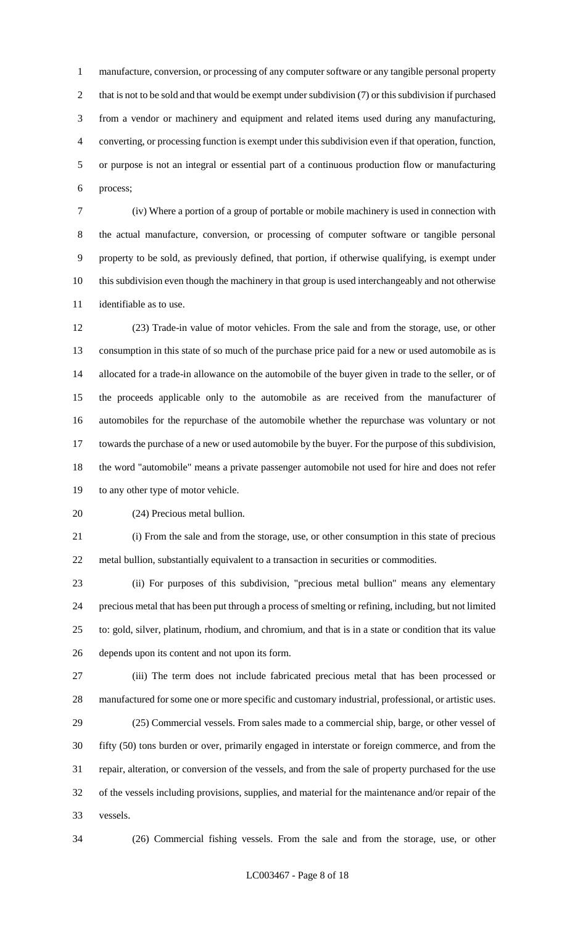manufacture, conversion, or processing of any computer software or any tangible personal property 2 that is not to be sold and that would be exempt under subdivision (7) or this subdivision if purchased from a vendor or machinery and equipment and related items used during any manufacturing, converting, or processing function is exempt under this subdivision even if that operation, function, or purpose is not an integral or essential part of a continuous production flow or manufacturing process;

 (iv) Where a portion of a group of portable or mobile machinery is used in connection with the actual manufacture, conversion, or processing of computer software or tangible personal property to be sold, as previously defined, that portion, if otherwise qualifying, is exempt under this subdivision even though the machinery in that group is used interchangeably and not otherwise identifiable as to use.

 (23) Trade-in value of motor vehicles. From the sale and from the storage, use, or other consumption in this state of so much of the purchase price paid for a new or used automobile as is allocated for a trade-in allowance on the automobile of the buyer given in trade to the seller, or of the proceeds applicable only to the automobile as are received from the manufacturer of automobiles for the repurchase of the automobile whether the repurchase was voluntary or not towards the purchase of a new or used automobile by the buyer. For the purpose of this subdivision, the word "automobile" means a private passenger automobile not used for hire and does not refer to any other type of motor vehicle.

(24) Precious metal bullion.

 (i) From the sale and from the storage, use, or other consumption in this state of precious metal bullion, substantially equivalent to a transaction in securities or commodities.

 (ii) For purposes of this subdivision, "precious metal bullion" means any elementary precious metal that has been put through a process of smelting or refining, including, but not limited to: gold, silver, platinum, rhodium, and chromium, and that is in a state or condition that its value depends upon its content and not upon its form.

 (iii) The term does not include fabricated precious metal that has been processed or manufactured for some one or more specific and customary industrial, professional, or artistic uses. (25) Commercial vessels. From sales made to a commercial ship, barge, or other vessel of

 fifty (50) tons burden or over, primarily engaged in interstate or foreign commerce, and from the repair, alteration, or conversion of the vessels, and from the sale of property purchased for the use of the vessels including provisions, supplies, and material for the maintenance and/or repair of the vessels.

(26) Commercial fishing vessels. From the sale and from the storage, use, or other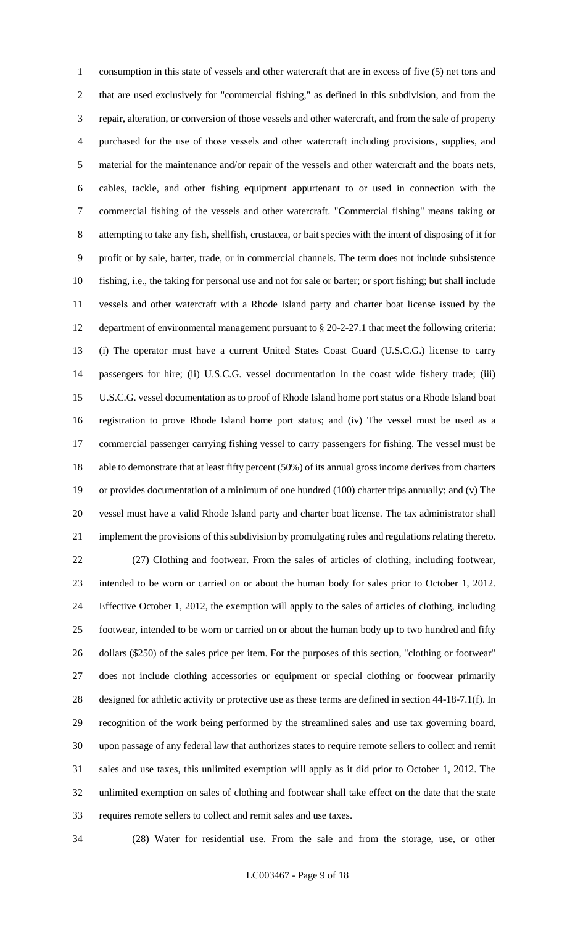consumption in this state of vessels and other watercraft that are in excess of five (5) net tons and that are used exclusively for "commercial fishing," as defined in this subdivision, and from the repair, alteration, or conversion of those vessels and other watercraft, and from the sale of property purchased for the use of those vessels and other watercraft including provisions, supplies, and material for the maintenance and/or repair of the vessels and other watercraft and the boats nets, cables, tackle, and other fishing equipment appurtenant to or used in connection with the commercial fishing of the vessels and other watercraft. "Commercial fishing" means taking or attempting to take any fish, shellfish, crustacea, or bait species with the intent of disposing of it for profit or by sale, barter, trade, or in commercial channels. The term does not include subsistence fishing, i.e., the taking for personal use and not for sale or barter; or sport fishing; but shall include vessels and other watercraft with a Rhode Island party and charter boat license issued by the department of environmental management pursuant to § 20-2-27.1 that meet the following criteria: (i) The operator must have a current United States Coast Guard (U.S.C.G.) license to carry passengers for hire; (ii) U.S.C.G. vessel documentation in the coast wide fishery trade; (iii) U.S.C.G. vessel documentation as to proof of Rhode Island home port status or a Rhode Island boat registration to prove Rhode Island home port status; and (iv) The vessel must be used as a commercial passenger carrying fishing vessel to carry passengers for fishing. The vessel must be able to demonstrate that at least fifty percent (50%) of its annual gross income derives from charters or provides documentation of a minimum of one hundred (100) charter trips annually; and (v) The vessel must have a valid Rhode Island party and charter boat license. The tax administrator shall implement the provisions of this subdivision by promulgating rules and regulations relating thereto. (27) Clothing and footwear. From the sales of articles of clothing, including footwear, intended to be worn or carried on or about the human body for sales prior to October 1, 2012. Effective October 1, 2012, the exemption will apply to the sales of articles of clothing, including footwear, intended to be worn or carried on or about the human body up to two hundred and fifty dollars (\$250) of the sales price per item. For the purposes of this section, "clothing or footwear" does not include clothing accessories or equipment or special clothing or footwear primarily designed for athletic activity or protective use as these terms are defined in section 44-18-7.1(f). In recognition of the work being performed by the streamlined sales and use tax governing board, upon passage of any federal law that authorizes states to require remote sellers to collect and remit sales and use taxes, this unlimited exemption will apply as it did prior to October 1, 2012. The unlimited exemption on sales of clothing and footwear shall take effect on the date that the state requires remote sellers to collect and remit sales and use taxes.

(28) Water for residential use. From the sale and from the storage, use, or other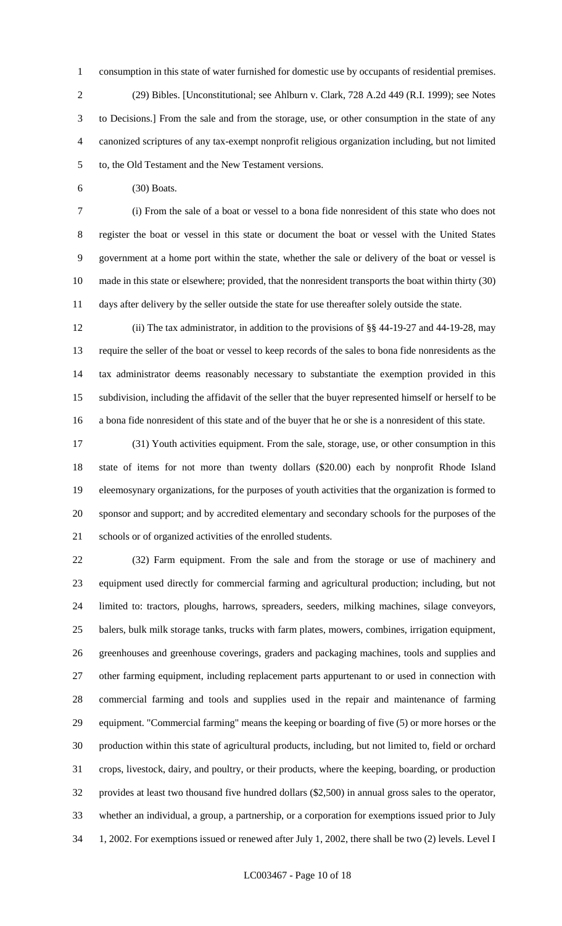consumption in this state of water furnished for domestic use by occupants of residential premises. (29) Bibles. [Unconstitutional; see Ahlburn v. Clark, 728 A.2d 449 (R.I. 1999); see Notes to Decisions.] From the sale and from the storage, use, or other consumption in the state of any canonized scriptures of any tax-exempt nonprofit religious organization including, but not limited to, the Old Testament and the New Testament versions.

(30) Boats.

 (i) From the sale of a boat or vessel to a bona fide nonresident of this state who does not register the boat or vessel in this state or document the boat or vessel with the United States government at a home port within the state, whether the sale or delivery of the boat or vessel is made in this state or elsewhere; provided, that the nonresident transports the boat within thirty (30) days after delivery by the seller outside the state for use thereafter solely outside the state.

 (ii) The tax administrator, in addition to the provisions of §§ 44-19-27 and 44-19-28, may require the seller of the boat or vessel to keep records of the sales to bona fide nonresidents as the tax administrator deems reasonably necessary to substantiate the exemption provided in this subdivision, including the affidavit of the seller that the buyer represented himself or herself to be a bona fide nonresident of this state and of the buyer that he or she is a nonresident of this state.

 (31) Youth activities equipment. From the sale, storage, use, or other consumption in this state of items for not more than twenty dollars (\$20.00) each by nonprofit Rhode Island eleemosynary organizations, for the purposes of youth activities that the organization is formed to sponsor and support; and by accredited elementary and secondary schools for the purposes of the schools or of organized activities of the enrolled students.

 (32) Farm equipment. From the sale and from the storage or use of machinery and equipment used directly for commercial farming and agricultural production; including, but not limited to: tractors, ploughs, harrows, spreaders, seeders, milking machines, silage conveyors, balers, bulk milk storage tanks, trucks with farm plates, mowers, combines, irrigation equipment, greenhouses and greenhouse coverings, graders and packaging machines, tools and supplies and other farming equipment, including replacement parts appurtenant to or used in connection with commercial farming and tools and supplies used in the repair and maintenance of farming equipment. "Commercial farming" means the keeping or boarding of five (5) or more horses or the production within this state of agricultural products, including, but not limited to, field or orchard crops, livestock, dairy, and poultry, or their products, where the keeping, boarding, or production provides at least two thousand five hundred dollars (\$2,500) in annual gross sales to the operator, whether an individual, a group, a partnership, or a corporation for exemptions issued prior to July 1, 2002. For exemptions issued or renewed after July 1, 2002, there shall be two (2) levels. Level I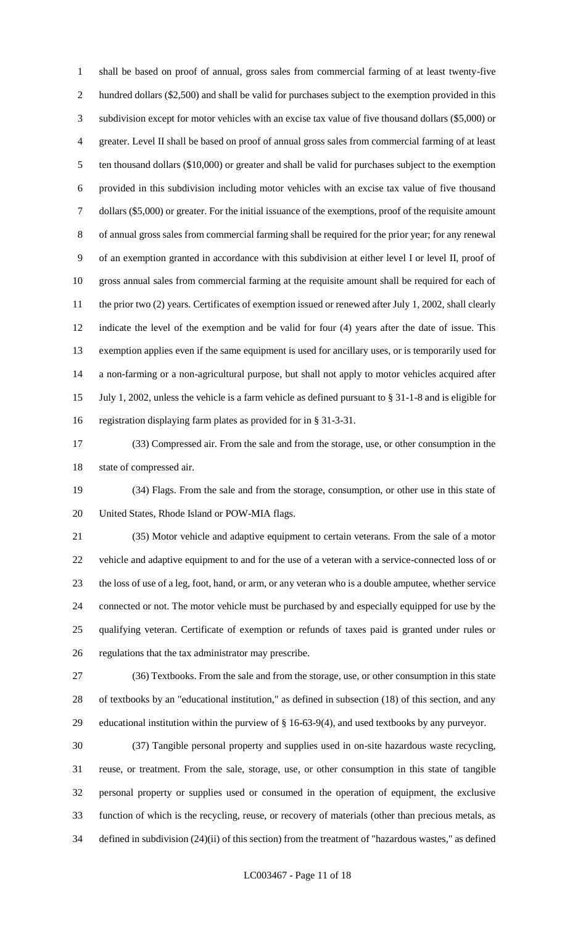shall be based on proof of annual, gross sales from commercial farming of at least twenty-five hundred dollars (\$2,500) and shall be valid for purchases subject to the exemption provided in this subdivision except for motor vehicles with an excise tax value of five thousand dollars (\$5,000) or greater. Level II shall be based on proof of annual gross sales from commercial farming of at least ten thousand dollars (\$10,000) or greater and shall be valid for purchases subject to the exemption provided in this subdivision including motor vehicles with an excise tax value of five thousand dollars (\$5,000) or greater. For the initial issuance of the exemptions, proof of the requisite amount of annual gross sales from commercial farming shall be required for the prior year; for any renewal of an exemption granted in accordance with this subdivision at either level I or level II, proof of gross annual sales from commercial farming at the requisite amount shall be required for each of 11 the prior two (2) years. Certificates of exemption issued or renewed after July 1, 2002, shall clearly indicate the level of the exemption and be valid for four (4) years after the date of issue. This exemption applies even if the same equipment is used for ancillary uses, or is temporarily used for a non-farming or a non-agricultural purpose, but shall not apply to motor vehicles acquired after July 1, 2002, unless the vehicle is a farm vehicle as defined pursuant to § 31-1-8 and is eligible for registration displaying farm plates as provided for in § 31-3-31.

 (33) Compressed air. From the sale and from the storage, use, or other consumption in the state of compressed air.

 (34) Flags. From the sale and from the storage, consumption, or other use in this state of United States, Rhode Island or POW-MIA flags.

 (35) Motor vehicle and adaptive equipment to certain veterans. From the sale of a motor vehicle and adaptive equipment to and for the use of a veteran with a service-connected loss of or the loss of use of a leg, foot, hand, or arm, or any veteran who is a double amputee, whether service connected or not. The motor vehicle must be purchased by and especially equipped for use by the qualifying veteran. Certificate of exemption or refunds of taxes paid is granted under rules or regulations that the tax administrator may prescribe.

 (36) Textbooks. From the sale and from the storage, use, or other consumption in this state of textbooks by an "educational institution," as defined in subsection (18) of this section, and any educational institution within the purview of § 16-63-9(4), and used textbooks by any purveyor.

 (37) Tangible personal property and supplies used in on-site hazardous waste recycling, reuse, or treatment. From the sale, storage, use, or other consumption in this state of tangible personal property or supplies used or consumed in the operation of equipment, the exclusive function of which is the recycling, reuse, or recovery of materials (other than precious metals, as defined in subdivision (24)(ii) of this section) from the treatment of "hazardous wastes," as defined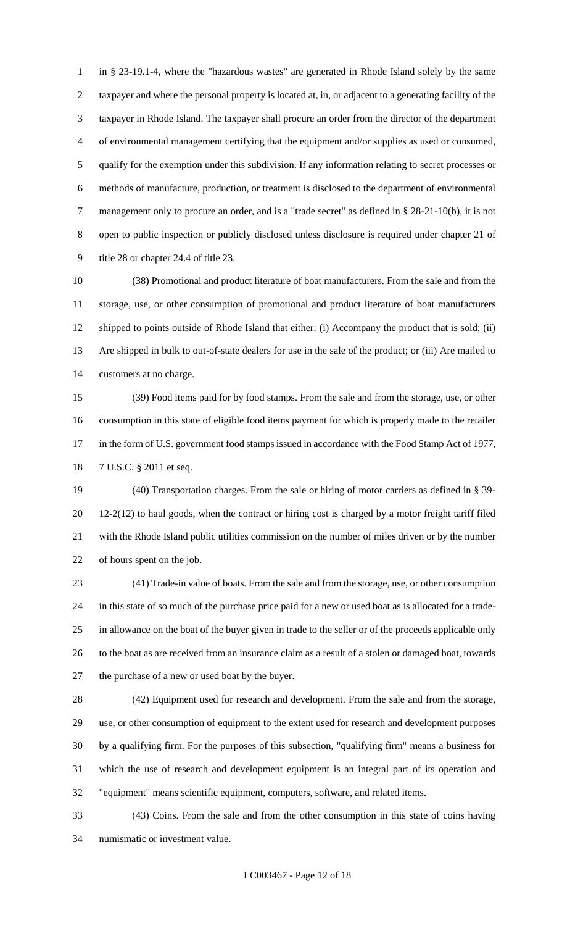in § 23-19.1-4, where the "hazardous wastes" are generated in Rhode Island solely by the same taxpayer and where the personal property is located at, in, or adjacent to a generating facility of the taxpayer in Rhode Island. The taxpayer shall procure an order from the director of the department of environmental management certifying that the equipment and/or supplies as used or consumed, qualify for the exemption under this subdivision. If any information relating to secret processes or methods of manufacture, production, or treatment is disclosed to the department of environmental management only to procure an order, and is a "trade secret" as defined in § 28-21-10(b), it is not open to public inspection or publicly disclosed unless disclosure is required under chapter 21 of title 28 or chapter 24.4 of title 23.

 (38) Promotional and product literature of boat manufacturers. From the sale and from the storage, use, or other consumption of promotional and product literature of boat manufacturers shipped to points outside of Rhode Island that either: (i) Accompany the product that is sold; (ii) Are shipped in bulk to out-of-state dealers for use in the sale of the product; or (iii) Are mailed to customers at no charge.

 (39) Food items paid for by food stamps. From the sale and from the storage, use, or other consumption in this state of eligible food items payment for which is properly made to the retailer 17 in the form of U.S. government food stamps issued in accordance with the Food Stamp Act of 1977, 7 U.S.C. § 2011 et seq.

 (40) Transportation charges. From the sale or hiring of motor carriers as defined in § 39- 12-2(12) to haul goods, when the contract or hiring cost is charged by a motor freight tariff filed with the Rhode Island public utilities commission on the number of miles driven or by the number of hours spent on the job.

 (41) Trade-in value of boats. From the sale and from the storage, use, or other consumption in this state of so much of the purchase price paid for a new or used boat as is allocated for a trade- in allowance on the boat of the buyer given in trade to the seller or of the proceeds applicable only to the boat as are received from an insurance claim as a result of a stolen or damaged boat, towards the purchase of a new or used boat by the buyer.

 (42) Equipment used for research and development. From the sale and from the storage, use, or other consumption of equipment to the extent used for research and development purposes by a qualifying firm. For the purposes of this subsection, "qualifying firm" means a business for which the use of research and development equipment is an integral part of its operation and "equipment" means scientific equipment, computers, software, and related items.

 (43) Coins. From the sale and from the other consumption in this state of coins having numismatic or investment value.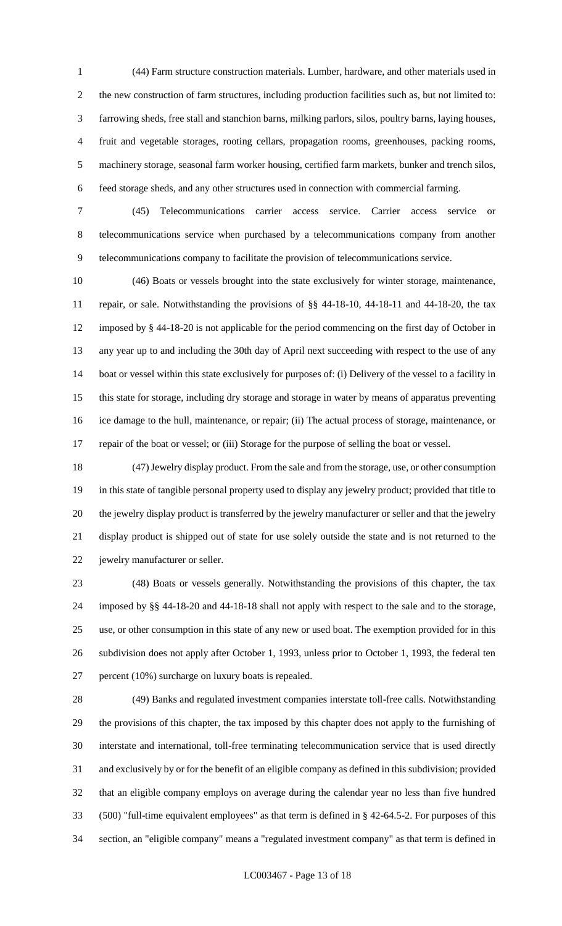(44) Farm structure construction materials. Lumber, hardware, and other materials used in the new construction of farm structures, including production facilities such as, but not limited to: farrowing sheds, free stall and stanchion barns, milking parlors, silos, poultry barns, laying houses, fruit and vegetable storages, rooting cellars, propagation rooms, greenhouses, packing rooms, machinery storage, seasonal farm worker housing, certified farm markets, bunker and trench silos, feed storage sheds, and any other structures used in connection with commercial farming.

 (45) Telecommunications carrier access service. Carrier access service or telecommunications service when purchased by a telecommunications company from another telecommunications company to facilitate the provision of telecommunications service.

 (46) Boats or vessels brought into the state exclusively for winter storage, maintenance, repair, or sale. Notwithstanding the provisions of §§ 44-18-10, 44-18-11 and 44-18-20, the tax imposed by § 44-18-20 is not applicable for the period commencing on the first day of October in any year up to and including the 30th day of April next succeeding with respect to the use of any boat or vessel within this state exclusively for purposes of: (i) Delivery of the vessel to a facility in this state for storage, including dry storage and storage in water by means of apparatus preventing ice damage to the hull, maintenance, or repair; (ii) The actual process of storage, maintenance, or repair of the boat or vessel; or (iii) Storage for the purpose of selling the boat or vessel.

 (47) Jewelry display product. From the sale and from the storage, use, or other consumption in this state of tangible personal property used to display any jewelry product; provided that title to the jewelry display product is transferred by the jewelry manufacturer or seller and that the jewelry display product is shipped out of state for use solely outside the state and is not returned to the jewelry manufacturer or seller.

 (48) Boats or vessels generally. Notwithstanding the provisions of this chapter, the tax imposed by §§ 44-18-20 and 44-18-18 shall not apply with respect to the sale and to the storage, use, or other consumption in this state of any new or used boat. The exemption provided for in this subdivision does not apply after October 1, 1993, unless prior to October 1, 1993, the federal ten percent (10%) surcharge on luxury boats is repealed.

 (49) Banks and regulated investment companies interstate toll-free calls. Notwithstanding the provisions of this chapter, the tax imposed by this chapter does not apply to the furnishing of interstate and international, toll-free terminating telecommunication service that is used directly and exclusively by or for the benefit of an eligible company as defined in this subdivision; provided that an eligible company employs on average during the calendar year no less than five hundred (500) "full-time equivalent employees" as that term is defined in § 42-64.5-2. For purposes of this section, an "eligible company" means a "regulated investment company" as that term is defined in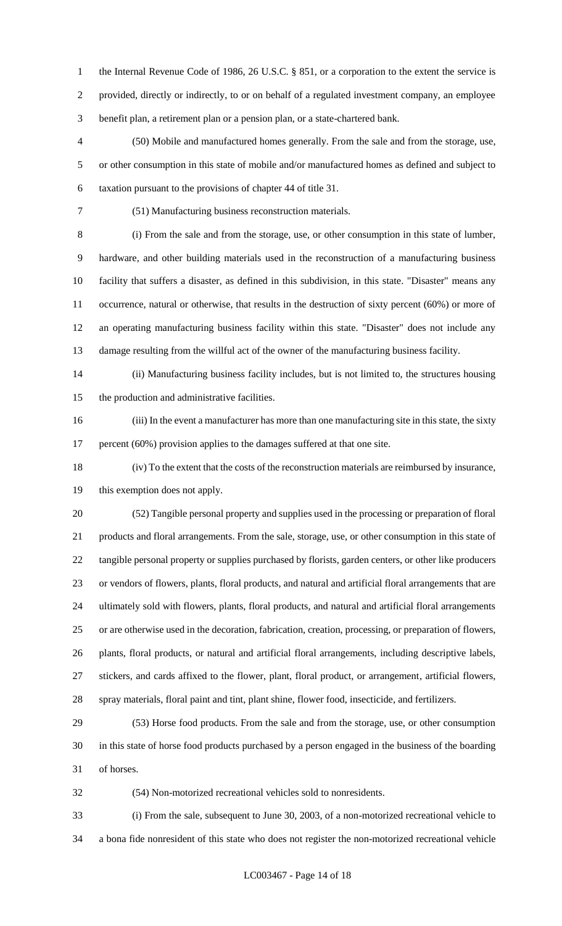1 the Internal Revenue Code of 1986, 26 U.S.C. § 851, or a corporation to the extent the service is provided, directly or indirectly, to or on behalf of a regulated investment company, an employee benefit plan, a retirement plan or a pension plan, or a state-chartered bank.

 (50) Mobile and manufactured homes generally. From the sale and from the storage, use, or other consumption in this state of mobile and/or manufactured homes as defined and subject to taxation pursuant to the provisions of chapter 44 of title 31.

(51) Manufacturing business reconstruction materials.

 (i) From the sale and from the storage, use, or other consumption in this state of lumber, hardware, and other building materials used in the reconstruction of a manufacturing business facility that suffers a disaster, as defined in this subdivision, in this state. "Disaster" means any occurrence, natural or otherwise, that results in the destruction of sixty percent (60%) or more of an operating manufacturing business facility within this state. "Disaster" does not include any damage resulting from the willful act of the owner of the manufacturing business facility.

 (ii) Manufacturing business facility includes, but is not limited to, the structures housing the production and administrative facilities.

 (iii) In the event a manufacturer has more than one manufacturing site in this state, the sixty 17 percent (60%) provision applies to the damages suffered at that one site.

 (iv) To the extent that the costs of the reconstruction materials are reimbursed by insurance, this exemption does not apply.

 (52) Tangible personal property and supplies used in the processing or preparation of floral products and floral arrangements. From the sale, storage, use, or other consumption in this state of tangible personal property or supplies purchased by florists, garden centers, or other like producers or vendors of flowers, plants, floral products, and natural and artificial floral arrangements that are ultimately sold with flowers, plants, floral products, and natural and artificial floral arrangements or are otherwise used in the decoration, fabrication, creation, processing, or preparation of flowers, plants, floral products, or natural and artificial floral arrangements, including descriptive labels, stickers, and cards affixed to the flower, plant, floral product, or arrangement, artificial flowers, spray materials, floral paint and tint, plant shine, flower food, insecticide, and fertilizers.

 (53) Horse food products. From the sale and from the storage, use, or other consumption in this state of horse food products purchased by a person engaged in the business of the boarding of horses.

(54) Non-motorized recreational vehicles sold to nonresidents.

 (i) From the sale, subsequent to June 30, 2003, of a non-motorized recreational vehicle to a bona fide nonresident of this state who does not register the non-motorized recreational vehicle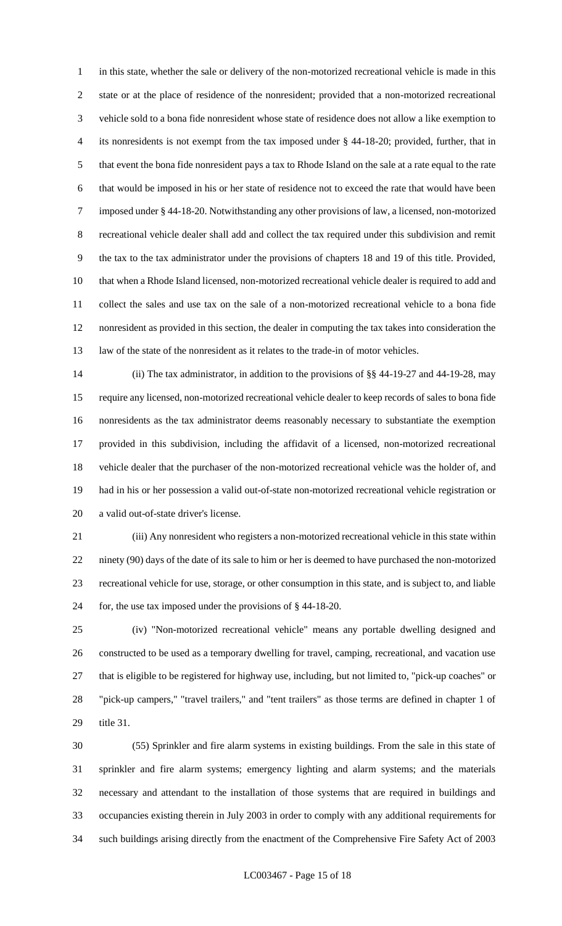in this state, whether the sale or delivery of the non-motorized recreational vehicle is made in this state or at the place of residence of the nonresident; provided that a non-motorized recreational vehicle sold to a bona fide nonresident whose state of residence does not allow a like exemption to its nonresidents is not exempt from the tax imposed under § 44-18-20; provided, further, that in that event the bona fide nonresident pays a tax to Rhode Island on the sale at a rate equal to the rate that would be imposed in his or her state of residence not to exceed the rate that would have been imposed under § 44-18-20. Notwithstanding any other provisions of law, a licensed, non-motorized recreational vehicle dealer shall add and collect the tax required under this subdivision and remit the tax to the tax administrator under the provisions of chapters 18 and 19 of this title. Provided, that when a Rhode Island licensed, non-motorized recreational vehicle dealer is required to add and collect the sales and use tax on the sale of a non-motorized recreational vehicle to a bona fide nonresident as provided in this section, the dealer in computing the tax takes into consideration the law of the state of the nonresident as it relates to the trade-in of motor vehicles.

 (ii) The tax administrator, in addition to the provisions of §§ 44-19-27 and 44-19-28, may require any licensed, non-motorized recreational vehicle dealer to keep records of sales to bona fide nonresidents as the tax administrator deems reasonably necessary to substantiate the exemption provided in this subdivision, including the affidavit of a licensed, non-motorized recreational vehicle dealer that the purchaser of the non-motorized recreational vehicle was the holder of, and had in his or her possession a valid out-of-state non-motorized recreational vehicle registration or a valid out-of-state driver's license.

 (iii) Any nonresident who registers a non-motorized recreational vehicle in this state within ninety (90) days of the date of its sale to him or her is deemed to have purchased the non-motorized recreational vehicle for use, storage, or other consumption in this state, and is subject to, and liable for, the use tax imposed under the provisions of § 44-18-20.

 (iv) "Non-motorized recreational vehicle" means any portable dwelling designed and constructed to be used as a temporary dwelling for travel, camping, recreational, and vacation use that is eligible to be registered for highway use, including, but not limited to, "pick-up coaches" or "pick-up campers," "travel trailers," and "tent trailers" as those terms are defined in chapter 1 of title 31.

 (55) Sprinkler and fire alarm systems in existing buildings. From the sale in this state of sprinkler and fire alarm systems; emergency lighting and alarm systems; and the materials necessary and attendant to the installation of those systems that are required in buildings and occupancies existing therein in July 2003 in order to comply with any additional requirements for such buildings arising directly from the enactment of the Comprehensive Fire Safety Act of 2003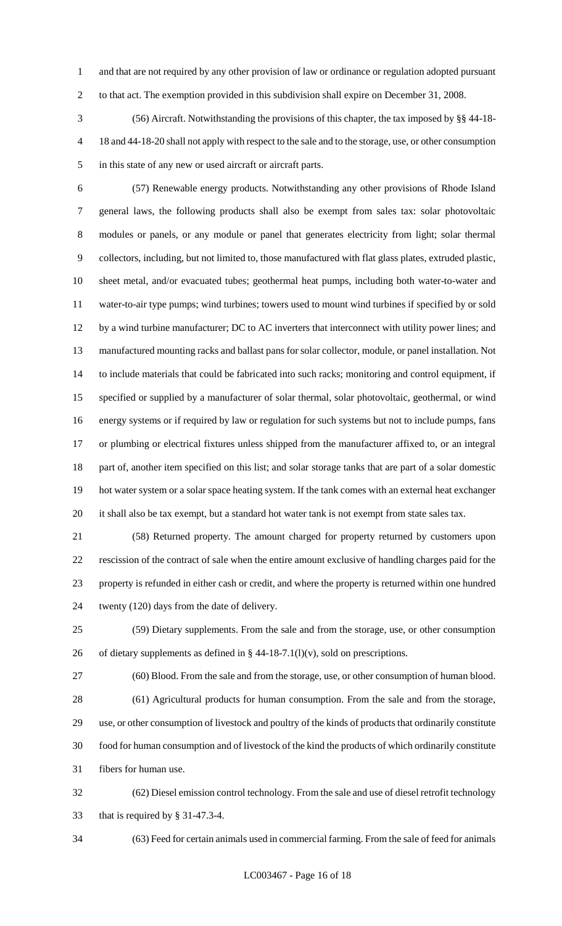and that are not required by any other provision of law or ordinance or regulation adopted pursuant to that act. The exemption provided in this subdivision shall expire on December 31, 2008.

 (56) Aircraft. Notwithstanding the provisions of this chapter, the tax imposed by §§ 44-18- 18 and 44-18-20 shall not apply with respect to the sale and to the storage, use, or other consumption in this state of any new or used aircraft or aircraft parts.

 (57) Renewable energy products. Notwithstanding any other provisions of Rhode Island general laws, the following products shall also be exempt from sales tax: solar photovoltaic modules or panels, or any module or panel that generates electricity from light; solar thermal collectors, including, but not limited to, those manufactured with flat glass plates, extruded plastic, sheet metal, and/or evacuated tubes; geothermal heat pumps, including both water-to-water and water-to-air type pumps; wind turbines; towers used to mount wind turbines if specified by or sold by a wind turbine manufacturer; DC to AC inverters that interconnect with utility power lines; and manufactured mounting racks and ballast pans for solar collector, module, or panel installation. Not to include materials that could be fabricated into such racks; monitoring and control equipment, if specified or supplied by a manufacturer of solar thermal, solar photovoltaic, geothermal, or wind energy systems or if required by law or regulation for such systems but not to include pumps, fans or plumbing or electrical fixtures unless shipped from the manufacturer affixed to, or an integral part of, another item specified on this list; and solar storage tanks that are part of a solar domestic hot water system or a solar space heating system. If the tank comes with an external heat exchanger it shall also be tax exempt, but a standard hot water tank is not exempt from state sales tax.

 (58) Returned property. The amount charged for property returned by customers upon rescission of the contract of sale when the entire amount exclusive of handling charges paid for the property is refunded in either cash or credit, and where the property is returned within one hundred twenty (120) days from the date of delivery.

 (59) Dietary supplements. From the sale and from the storage, use, or other consumption 26 of dietary supplements as defined in  $\S$  44-18-7.1(l)(v), sold on prescriptions.

 (60) Blood. From the sale and from the storage, use, or other consumption of human blood. (61) Agricultural products for human consumption. From the sale and from the storage, use, or other consumption of livestock and poultry of the kinds of products that ordinarily constitute food for human consumption and of livestock of the kind the products of which ordinarily constitute

fibers for human use.

 (62) Diesel emission control technology. From the sale and use of diesel retrofit technology that is required by § 31-47.3-4.

(63) Feed for certain animals used in commercial farming. From the sale of feed for animals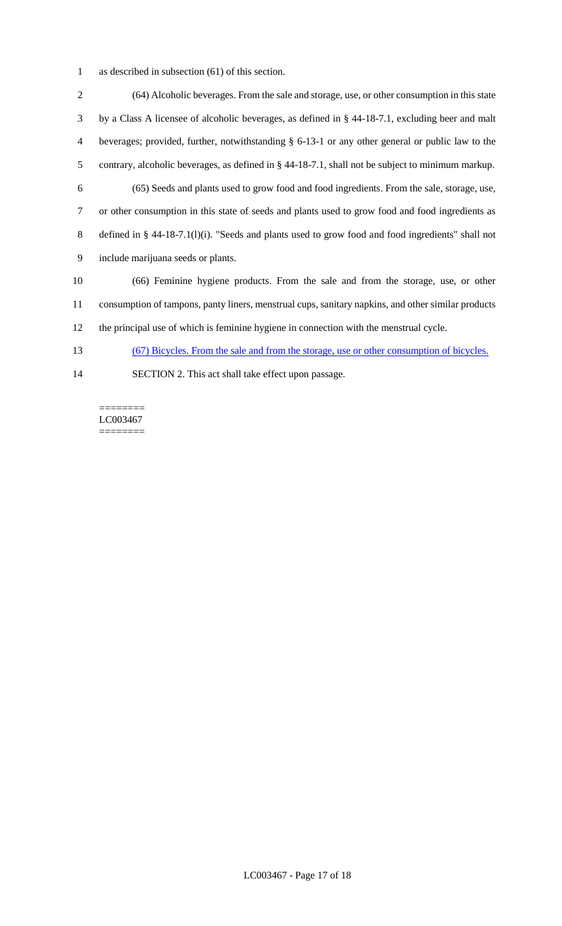as described in subsection (61) of this section.

 (64) Alcoholic beverages. From the sale and storage, use, or other consumption in this state by a Class A licensee of alcoholic beverages, as defined in § 44-18-7.1, excluding beer and malt beverages; provided, further, notwithstanding § 6-13-1 or any other general or public law to the contrary, alcoholic beverages, as defined in § 44-18-7.1, shall not be subject to minimum markup. (65) Seeds and plants used to grow food and food ingredients. From the sale, storage, use, or other consumption in this state of seeds and plants used to grow food and food ingredients as defined in § 44-18-7.1(l)(i). "Seeds and plants used to grow food and food ingredients" shall not include marijuana seeds or plants. (66) Feminine hygiene products. From the sale and from the storage, use, or other consumption of tampons, panty liners, menstrual cups, sanitary napkins, and other similar products the principal use of which is feminine hygiene in connection with the menstrual cycle. (67) Bicycles. From the sale and from the storage, use or other consumption of bicycles. SECTION 2. This act shall take effect upon passage.

======== LC003467 ========